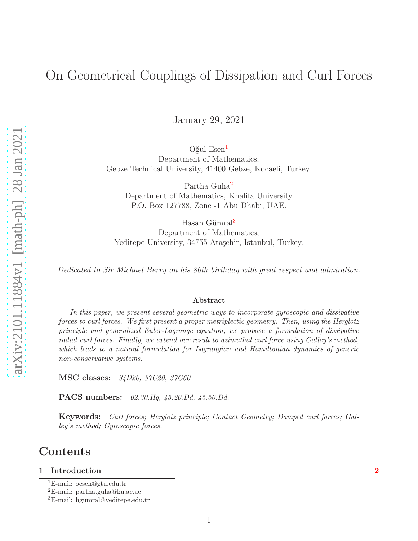# On Geometrical Couplings of Dissipation and Curl Forces

January 29, 2021

 $O\check{g}$ ul Esen $<sup>1</sup>$  $<sup>1</sup>$  $<sup>1</sup>$ </sup> Department of Mathematics, Gebze Technical University, 41400 Gebze, Kocaeli, Turkey.

Partha Guha<sup>[2](#page-0-1)</sup> Department of Mathematics, Khalifa University P.O. Box 127788, Zone -1 Abu Dhabi, UAE.

Hasan Gümral<sup>[3](#page-0-2)</sup> Department of Mathematics, Yeditepe University, 34755 Ataşehir, Istanbul, Turkey.

Dedicated to Sir Michael Berry on his 80th birthday with great respect and admiration.

#### Abstract

In this paper, we present several geometric ways to incorporate gyroscopic and dissipative forces to curl forces. We first present a proper metriplectic geometry. Then, using the Herglotz principle and generalized Euler-Lagrange equation, we propose a formulation of dissipative radial curl forces. Finally, we extend our result to azimuthal curl force using Galley's method, which leads to a natural formulation for Lagrangian and Hamiltonian dynamics of generic non-conservative systems.

**MSC** classes: 34D20, 37C20, 37C60

PACS numbers: 02.30.Hq, 45.20.Dd, 45.50.Dd.

Keywords: Curl forces; Herglotz principle; Contact Geometry; Damped curl forces; Galley's method; Gyroscopic forces.

## Contents

#### 1 Introduction [2](#page-1-0)

<sup>1</sup>E-mail: oesen@gtu.edu.tr

<span id="page-0-0"></span><sup>2</sup>E-mail: partha.guha@ku.ac.ae

<span id="page-0-2"></span><span id="page-0-1"></span><sup>3</sup>E-mail: hgumral@yeditepe.edu.tr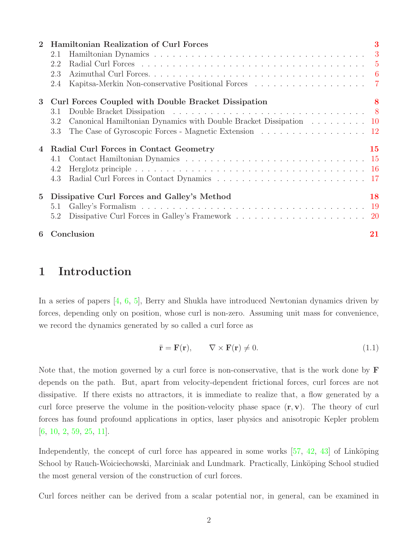| $\overline{2}$ | <b>Hamiltonian Realization of Curl Forces</b>                            | 3         |
|----------------|--------------------------------------------------------------------------|-----------|
|                | 2.1                                                                      |           |
|                | 2.2                                                                      |           |
|                | 2.3                                                                      |           |
|                | 2.4                                                                      |           |
| 3              | Curl Forces Coupled with Double Bracket Dissipation                      | 8         |
|                | 3.1                                                                      |           |
|                | Canonical Hamiltonian Dynamics with Double Bracket Dissipation 10<br>3.2 |           |
|                | The Case of Gyroscopic Forces - Magnetic Extension 12<br>3.3             |           |
|                | Radial Curl Forces in Contact Geometry                                   | <b>15</b> |
|                | 4.1                                                                      |           |
|                | 4.2                                                                      |           |
|                | 4.3                                                                      |           |
| $5^{\circ}$    | Dissipative Curl Forces and Galley's Method                              | 18        |
|                | 5.1                                                                      |           |
|                | 5.2                                                                      |           |
| 6              | Conclusion                                                               | 21        |

## <span id="page-1-0"></span>1 Introduction

In a series of papers  $[4, 6, 5]$  $[4, 6, 5]$  $[4, 6, 5]$  $[4, 6, 5]$ , Berry and Shukla have introduced Newtonian dynamics driven by forces, depending only on position, whose curl is non-zero. Assuming unit mass for convenience, we record the dynamics generated by so called a curl force as

<span id="page-1-1"></span>
$$
\ddot{\mathbf{r}} = \mathbf{F}(\mathbf{r}), \qquad \nabla \times \mathbf{F}(\mathbf{r}) \neq 0. \tag{1.1}
$$

Note that, the motion governed by a curl force is non-conservative, that is the work done by  $\bf{F}$ depends on the path. But, apart from velocity-dependent frictional forces, curl forces are not dissipative. If there exists no attractors, it is immediate to realize that, a flow generated by a curl force preserve the volume in the position-velocity phase space  $(\mathbf{r}, \mathbf{v})$ . The theory of curl forces has found profound applications in optics, laser physics and anisotropic Kepler problem [\[6,](#page-21-1) [10,](#page-22-0) [2,](#page-21-3) [59,](#page-25-0) [25,](#page-23-0) [11\]](#page-22-1).

Independently, the concept of curl force has appeared in some works  $[57, 42, 43]$  $[57, 42, 43]$  $[57, 42, 43]$  $[57, 42, 43]$  of Linköping School by Rauch-Woiciechowski, Marciniak and Lundmark. Practically, Linköping School studied the most general version of the construction of curl forces.

Curl forces neither can be derived from a scalar potential nor, in general, can be examined in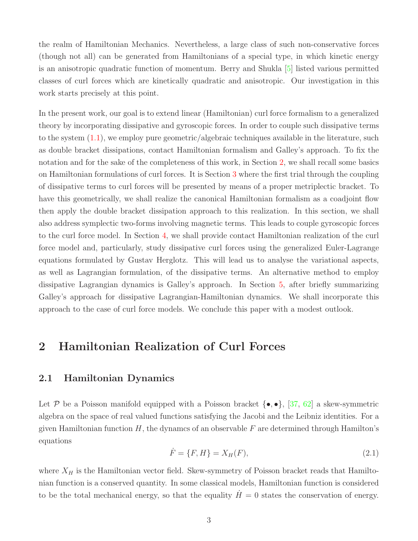the realm of Hamiltonian Mechanics. Nevertheless, a large class of such non-conservative forces (though not all) can be generated from Hamiltonians of a special type, in which kinetic energy is an anisotropic quadratic function of momentum. Berry and Shukla [\[5\]](#page-21-2) listed various permitted classes of curl forces which are kinetically quadratic and anisotropic. Our investigation in this work starts precisely at this point.

In the present work, our goal is to extend linear (Hamiltonian) curl force formalism to a generalized theory by incorporating dissipative and gyroscopic forces. In order to couple such dissipative terms to the system [\(1.1\)](#page-1-1), we employ pure geometric/algebraic techniques available in the literature, such as double bracket dissipations, contact Hamiltonian formalism and Galley's approach. To fix the notation and for the sake of the completeness of this work, in Section [2,](#page-2-0) we shall recall some basics on Hamiltonian formulations of curl forces. It is Section [3](#page-7-0) where the first trial through the coupling of dissipative terms to curl forces will be presented by means of a proper metriplectic bracket. To have this geometrically, we shall realize the canonical Hamiltonian formalism as a coadjoint flow then apply the double bracket dissipation approach to this realization. In this section, we shall also address symplectic two-forms involving magnetic terms. This leads to couple gyroscopic forces to the curl force model. In Section [4,](#page-14-0) we shall provide contact Hamiltonian realization of the curl force model and, particularly, study dissipative curl forces using the generalized Euler-Lagrange equations formulated by Gustav Herglotz. This will lead us to analyse the variational aspects, as well as Lagrangian formulation, of the dissipative terms. An alternative method to employ dissipative Lagrangian dynamics is Galley's approach. In Section [5,](#page-17-0) after briefly summarizing Galley's approach for dissipative Lagrangian-Hamiltonian dynamics. We shall incorporate this approach to the case of curl force models. We conclude this paper with a modest outlook.

## <span id="page-2-1"></span><span id="page-2-0"></span>2 Hamiltonian Realization of Curl Forces

#### 2.1 Hamiltonian Dynamics

Let P be a Poisson manifold equipped with a Poisson bracket  $\{\bullet, \bullet\}$ , [\[37,](#page-24-2) [62\]](#page-25-2) a skew-symmetric algebra on the space of real valued functions satisfying the Jacobi and the Leibniz identities. For a given Hamiltonian function  $H$ , the dynamcs of an observable F are determined through Hamilton's equations

<span id="page-2-2"></span>
$$
\dot{F} = \{F, H\} = X_H(F),\tag{2.1}
$$

where  $X_H$  is the Hamiltonian vector field. Skew-symmetry of Poisson bracket reads that Hamiltonian function is a conserved quantity. In some classical models, Hamiltonian function is considered to be the total mechanical energy, so that the equality  $H=0$  states the conservation of energy.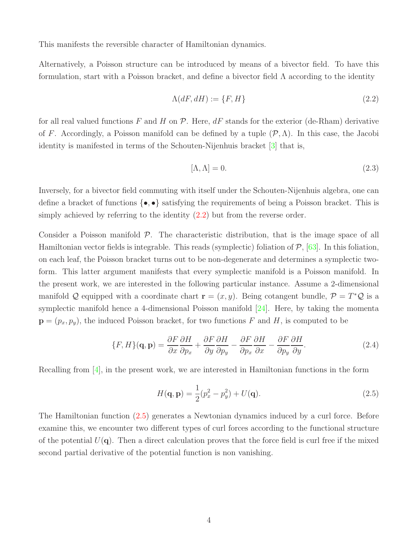This manifests the reversible character of Hamiltonian dynamics.

Alternatively, a Poisson structure can be introduced by means of a bivector field. To have this formulation, start with a Poisson bracket, and define a bivector field  $\Lambda$  according to the identity

<span id="page-3-0"></span>
$$
\Lambda(dF, dH) := \{F, H\} \tag{2.2}
$$

for all real valued functions F and H on  $\mathcal P$ . Here,  $dF$  stands for the exterior (de-Rham) derivative of F. Accordingly, a Poisson manifold can be defined by a tuple  $(\mathcal{P}, \Lambda)$ . In this case, the Jacobi identity is manifested in terms of the Schouten-Nijenhuis bracket [\[3\]](#page-21-4) that is,

$$
[\Lambda, \Lambda] = 0. \tag{2.3}
$$

Inversely, for a bivector field commuting with itself under the Schouten-Nijenhuis algebra, one can define a bracket of functions  $\{\bullet,\bullet\}$  satisfying the requirements of being a Poisson bracket. This is simply achieved by referring to the identity [\(2.2\)](#page-3-0) but from the reverse order.

Consider a Poisson manifold  $P$ . The characteristic distribution, that is the image space of all Hamiltonian vector fields is integrable. This reads (symplectic) foliation of  $P$ , [\[63\]](#page-25-3). In this foliation, on each leaf, the Poisson bracket turns out to be non-degenerate and determines a symplectic twoform. This latter argument manifests that every symplectic manifold is a Poisson manifold. In the present work, we are interested in the following particular instance. Assume a 2-dimensional manifold Q equipped with a coordinate chart  $\mathbf{r} = (x, y)$ . Being cotangent bundle,  $\mathcal{P} = T^* \mathcal{Q}$  is a symplectic manifold hence a 4-dimensional Poisson manifold [\[24\]](#page-23-1). Here, by taking the momenta  $\mathbf{p} = (p_x, p_y)$ , the induced Poisson bracket, for two functions F and H, is computed to be

$$
\{F, H\}(\mathbf{q}, \mathbf{p}) = \frac{\partial F}{\partial x}\frac{\partial H}{\partial p_x} + \frac{\partial F}{\partial y}\frac{\partial H}{\partial p_y} - \frac{\partial F}{\partial p_x}\frac{\partial H}{\partial x} - \frac{\partial F}{\partial p_y}\frac{\partial H}{\partial y}.
$$
(2.4)

Recalling from  $[4]$ , in the present work, we are interested in Hamiltonian functions in the form

<span id="page-3-1"></span>
$$
H(\mathbf{q}, \mathbf{p}) = \frac{1}{2}(p_x^2 - p_y^2) + U(\mathbf{q}).
$$
\n(2.5)

The Hamiltonian function [\(2.5\)](#page-3-1) generates a Newtonian dynamics induced by a curl force. Before examine this, we encounter two different types of curl forces according to the functional structure of the potential  $U(q)$ . Then a direct calculation proves that the force field is curl free if the mixed second partial derivative of the potential function is non vanishing.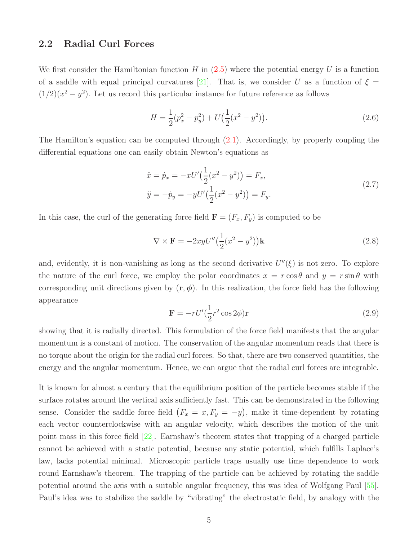#### <span id="page-4-0"></span>2.2 Radial Curl Forces

We first consider the Hamiltonian function H in  $(2.5)$  where the potential energy U is a function of a saddle with equal principal curvatures [\[21\]](#page-22-2). That is, we consider U as a function of  $\xi =$  $(1/2)(x^2 - y^2)$ . Let us record this particular instance for future reference as follows

<span id="page-4-1"></span>
$$
H = \frac{1}{2}(p_x^2 - p_y^2) + U(\frac{1}{2}(x^2 - y^2)).
$$
\n(2.6)

The Hamilton's equation can be computed through [\(2.1\)](#page-2-2). Accordingly, by properly coupling the differential equations one can easily obtain Newton's equations as

$$
\ddot{x} = \dot{p}_x = -xU'\left(\frac{1}{2}(x^2 - y^2)\right) = F_x,
$$
\n
$$
\ddot{y} = -\dot{p}_y = -yU'\left(\frac{1}{2}(x^2 - y^2)\right) = F_y.
$$
\n(2.7)

In this case, the curl of the generating force field  $\mathbf{F} = (F_x, F_y)$  is computed to be

$$
\nabla \times \mathbf{F} = -2xyU''\left(\frac{1}{2}(x^2 - y^2)\right)\mathbf{k}
$$
\n(2.8)

and, evidently, it is non-vanishing as long as the second derivative  $U''(\xi)$  is not zero. To explore the nature of the curl force, we employ the polar coordinates  $x = r \cos \theta$  and  $y = r \sin \theta$  with corresponding unit directions given by  $(\mathbf{r}, \phi)$ . In this realization, the force field has the following appearance

$$
\mathbf{F} = -rU'(\frac{1}{2}r^2\cos 2\phi)\mathbf{r}
$$
 (2.9)

showing that it is radially directed. This formulation of the force field manifests that the angular momentum is a constant of motion. The conservation of the angular momentum reads that there is no torque about the origin for the radial curl forces. So that, there are two conserved quantities, the energy and the angular momentum. Hence, we can argue that the radial curl forces are integrable.

It is known for almost a century that the equilibrium position of the particle becomes stable if the surface rotates around the vertical axis sufficiently fast. This can be demonstrated in the following sense. Consider the saddle force field  $(F_x = x, F_y = -y)$ , make it time-dependent by rotating each vector counterclockwise with an angular velocity, which describes the motion of the unit point mass in this force field [\[22\]](#page-23-2). Earnshaw's theorem states that trapping of a charged particle cannot be achieved with a static potential, because any static potential, which fulfills Laplace's law, lacks potential minimal. Microscopic particle traps usually use time dependence to work round Earnshaw's theorem. The trapping of the particle can be achieved by rotating the saddle potential around the axis with a suitable angular frequency, this was idea of Wolfgang Paul [\[55\]](#page-25-4). Paul's idea was to stabilize the saddle by "vibrating" the electrostatic field, by analogy with the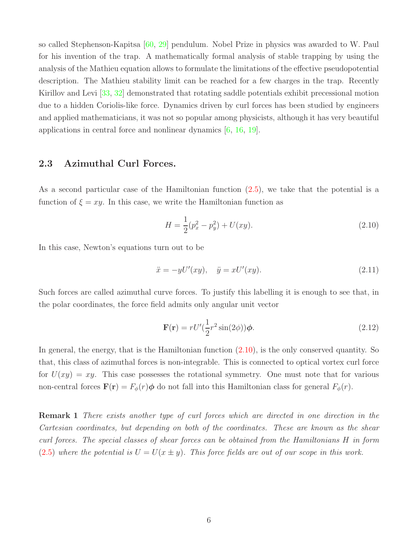so called Stephenson-Kapitsa [\[60,](#page-25-5) [29\]](#page-23-3) pendulum. Nobel Prize in physics was awarded to W. Paul for his invention of the trap. A mathematically formal analysis of stable trapping by using the analysis of the Mathieu equation allows to formulate the limitations of the effective pseudopotential description. The Mathieu stability limit can be reached for a few charges in the trap. Recently Kirillov and Levi [\[33,](#page-23-4) [32\]](#page-23-5) demonstrated that rotating saddle potentials exhibit precessional motion due to a hidden Coriolis-like force. Dynamics driven by curl forces has been studied by engineers and applied mathematicians, it was not so popular among physicists, although it has very beautiful applications in central force and nonlinear dynamics [\[6,](#page-21-1) [16,](#page-22-3) [19\]](#page-22-4).

#### <span id="page-5-0"></span>2.3 Azimuthal Curl Forces.

As a second particular case of the Hamiltonian function [\(2.5\)](#page-3-1), we take that the potential is a function of  $\xi = xy$ . In this case, we write the Hamiltonian function as

<span id="page-5-1"></span>
$$
H = \frac{1}{2}(p_x^2 - p_y^2) + U(xy).
$$
\n(2.10)

In this case, Newton's equations turn out to be

$$
\ddot{x} = -yU'(xy), \quad \ddot{y} = xU'(xy). \tag{2.11}
$$

Such forces are called azimuthal curve forces. To justify this labelling it is enough to see that, in the polar coordinates, the force field admits only angular unit vector

$$
\mathbf{F}(\mathbf{r}) = rU'(\frac{1}{2}r^2\sin(2\phi))\phi.
$$
 (2.12)

In general, the energy, that is the Hamiltonian function  $(2.10)$ , is the only conserved quantity. So that, this class of azimuthal forces is non-integrable. This is connected to optical vortex curl force for  $U(xy) = xy$ . This case possesses the rotational symmetry. One must note that for various non-central forces  $\mathbf{F}(\mathbf{r}) = F_{\phi}(r)\phi$  do not fall into this Hamiltonian class for general  $F_{\phi}(r)$ .

Remark 1 There exists another type of curl forces which are directed in one direction in the Cartesian coordinates, but depending on both of the coordinates. These are known as the shear curl forces. The special classes of shear forces can be obtained from the Hamiltonians H in form [\(2.5\)](#page-3-1) where the potential is  $U = U(x \pm y)$ . This force fields are out of our scope in this work.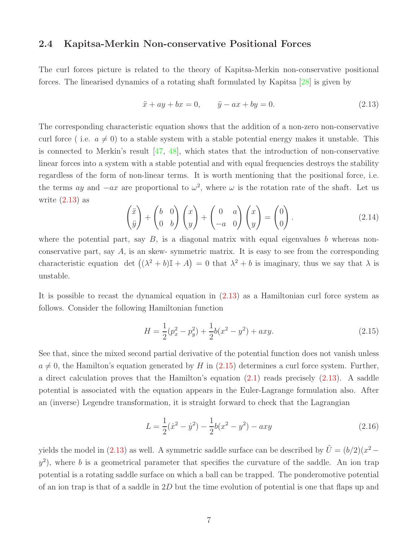#### <span id="page-6-0"></span>2.4 Kapitsa-Merkin Non-conservative Positional Forces

The curl forces picture is related to the theory of Kapitsa-Merkin non-conservative positional forces. The linearised dynamics of a rotating shaft formulated by Kapitsa [\[28\]](#page-23-6) is given by

<span id="page-6-1"></span>
$$
\ddot{x} + ay + bx = 0, \qquad \ddot{y} - ax + by = 0.
$$
 (2.13)

The corresponding characteristic equation shows that the addition of a non-zero non-conservative curl force (i.e.  $a \neq 0$ ) to a stable system with a stable potential energy makes it unstable. This is connected to Merkin's result [\[47,](#page-24-3) [48\]](#page-24-4), which states that the introduction of non-conservative linear forces into a system with a stable potential and with equal frequencies destroys the stability regardless of the form of non-linear terms. It is worth mentioning that the positional force, i.e. the terms ay and  $-ax$  are proportional to  $\omega^2$ , where  $\omega$  is the rotation rate of the shaft. Let us write  $(2.13)$  as

$$
\begin{pmatrix} \ddot{x} \\ \ddot{y} \end{pmatrix} + \begin{pmatrix} b & 0 \\ 0 & b \end{pmatrix} \begin{pmatrix} x \\ y \end{pmatrix} + \begin{pmatrix} 0 & a \\ -a & 0 \end{pmatrix} \begin{pmatrix} x \\ y \end{pmatrix} = \begin{pmatrix} 0 \\ 0 \end{pmatrix}.
$$
 (2.14)

where the potential part, say  $B$ , is a diagonal matrix with equal eigenvalues b whereas nonconservative part, say  $A$ , is an skew- symmetric matrix. It is easy to see from the corresponding characteristic equation det  $((\lambda^2 + b)\mathbb{I} + A) = 0$  that  $\lambda^2 + b$  is imaginary, thus we say that  $\lambda$  is unstable.

It is possible to recast the dynamical equation in [\(2.13\)](#page-6-1) as a Hamiltonian curl force system as follows. Consider the following Hamiltonian function

<span id="page-6-2"></span>
$$
H = \frac{1}{2}(p_x^2 - p_y^2) + \frac{1}{2}b(x^2 - y^2) + axy.
$$
\n(2.15)

See that, since the mixed second partial derivative of the potential function does not vanish unless  $a \neq 0$ , the Hamilton's equation generated by H in [\(2.15\)](#page-6-2) determines a curl force system. Further, a direct calculation proves that the Hamilton's equation  $(2.1)$  reads precisely  $(2.13)$ . A saddle potential is associated with the equation appears in the Euler-Lagrange formulation also. After an (inverse) Legendre transformation, it is straight forward to check that the Lagrangian

$$
L = \frac{1}{2}(\dot{x}^2 - \dot{y}^2) - \frac{1}{2}b(x^2 - y^2) - axy
$$
\n(2.16)

yields the model in [\(2.13\)](#page-6-1) as well. A symmetric saddle surface can be described by  $\tilde{U} = (b/2)(x^2 (y^2)$ , where b is a geometrical parameter that specifies the curvature of the saddle. An ion trap potential is a rotating saddle surface on which a ball can be trapped. The ponderomotive potential of an ion trap is that of a saddle in  $2D$  but the time evolution of potential is one that flaps up and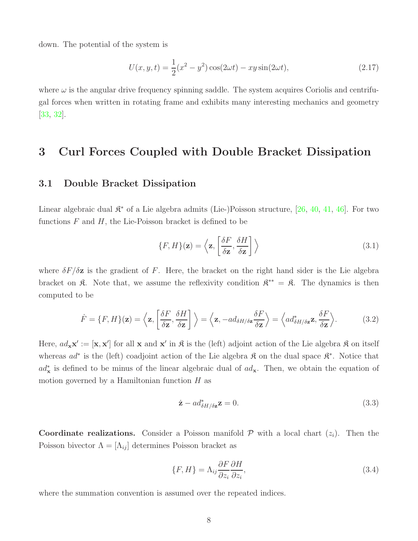down. The potential of the system is

$$
U(x, y, t) = \frac{1}{2}(x^2 - y^2)\cos(2\omega t) - xy\sin(2\omega t),
$$
\n(2.17)

where  $\omega$  is the angular drive frequency spinning saddle. The system acquires Coriolis and centrifugal forces when written in rotating frame and exhibits many interesting mechanics and geometry [\[33,](#page-23-4) [32\]](#page-23-5).

## <span id="page-7-1"></span><span id="page-7-0"></span>3 Curl Forces Coupled with Double Bracket Dissipation

#### 3.1 Double Bracket Dissipation

Linear algebraic dual  $\mathfrak{K}^*$  of a Lie algebra admits (Lie-)Poisson structure, [\[26,](#page-23-7) [40,](#page-24-5) [41,](#page-24-6) [46\]](#page-24-7). For two functions  $F$  and  $H$ , the Lie-Poisson bracket is defined to be

<span id="page-7-2"></span>
$$
\{F, H\}(\mathbf{z}) = \left\langle \mathbf{z}, \left[ \frac{\delta F}{\delta \mathbf{z}}, \frac{\delta H}{\delta \mathbf{z}} \right] \right\rangle \tag{3.1}
$$

where  $\delta F/\delta z$  is the gradient of F. Here, the bracket on the right hand sider is the Lie algebra bracket on  $\mathfrak{K}$ . Note that, we assume the reflexivity condition  $\mathfrak{K}^{**} = \mathfrak{K}$ . The dynamics is then computed to be

$$
\dot{F} = \{F, H\}(\mathbf{z}) = \left\langle \mathbf{z}, \left[ \frac{\delta F}{\delta \mathbf{z}}, \frac{\delta H}{\delta \mathbf{z}} \right] \right\rangle = \left\langle \mathbf{z}, -ad_{\delta H/\delta \mathbf{z}} \frac{\delta F}{\delta \mathbf{z}} \right\rangle = \left\langle ad_{\delta H/\delta \mathbf{z}}^* \mathbf{z}, \frac{\delta F}{\delta \mathbf{z}} \right\rangle. \tag{3.2}
$$

Here,  $ad_{\mathbf{x}}\mathbf{x}' := [\mathbf{x}, \mathbf{x}']$  for all  $\mathbf{x}$  and  $\mathbf{x}'$  in  $\mathbf{\hat{\mathcal{R}}}$  is the (left) adjoint action of the Lie algebra  $\mathbf{\hat{\mathcal{R}}}$  on itself whereas  $ad^*$  is the (left) coadjoint action of the Lie algebra  $\mathfrak K$  on the dual space  $\mathfrak K^*$ . Notice that  $ad_{\mathbf{x}}^*$  is defined to be minus of the linear algebraic dual of  $ad_{\mathbf{x}}$ . Then, we obtain the equation of motion governed by a Hamiltonian function  $H$  as

<span id="page-7-3"></span>
$$
\dot{\mathbf{z}} - ad^*_{\delta H/\delta \mathbf{z}} \mathbf{z} = 0. \tag{3.3}
$$

**Coordinate realizations.** Consider a Poisson manifold  $P$  with a local chart  $(z_i)$ . Then the Poisson bivector  $\Lambda = [\Lambda_{ij}]$  determines Poisson bracket as

$$
\{F, H\} = \Lambda_{ij} \frac{\partial F}{\partial z_i} \frac{\partial H}{\partial z_i},\tag{3.4}
$$

where the summation convention is assumed over the repeated indices.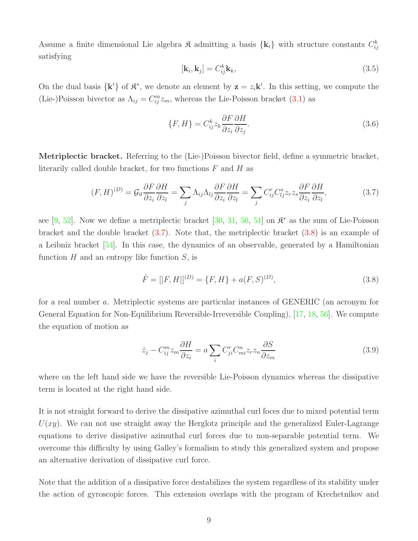Assume a finite dimensional Lie algebra  $\mathfrak{K}$  admitting a basis  $\{k_i\}$  with structure constants  $C_{ij}^k$ satisfying

$$
[\mathbf{k}_i, \mathbf{k}_j] = C_{ij}^k \mathbf{k}_k, \tag{3.5}
$$

On the dual basis  $\{k^i\}$  of  $\mathfrak{K}^*$ , we denote an element by  $z = z_i k^i$ . In this setting, we compute the (Lie-)Poisson bivector as  $\Lambda_{ij} = C_{ij}^m z_m$ , whereas the Lie-Poisson bracket [\(3.1\)](#page-7-2) as

<span id="page-8-2"></span>
$$
\{F, H\} = C_{ij}^k z_k \frac{\partial F}{\partial z_i} \frac{\partial H}{\partial z_j}.
$$
\n(3.6)

Metriplectic bracket. Referring to the (Lie-)Poisson bivector field, define a symmetric bracket, literarily called double bracket, for two functions  $F$  and  $H$  as

<span id="page-8-0"></span>
$$
(F, H)^{(D)} = \mathcal{G}_{il} \frac{\partial F}{\partial z_i} \frac{\partial H}{\partial z_l} = \sum_j \Lambda_{ij} \Lambda_{lj} \frac{\partial F}{\partial z_i} \frac{\partial H}{\partial z_l} = \sum_j C^r_{ij} C^s_{lj} z_r z_s \frac{\partial F}{\partial z_i} \frac{\partial H}{\partial z_l},
$$
(3.7)

see [\[9,](#page-22-5) [52\]](#page-25-6). Now we define a metriplectic bracket [\[30,](#page-23-8) [31,](#page-23-9) [50,](#page-24-8) [51\]](#page-24-9) on  $\mathbb{R}^*$  as the sum of Lie-Poisson bracket and the double bracket [\(3.7\)](#page-8-0). Note that, the metriplectic bracket [\(3.8\)](#page-8-1) is an example of a Leibniz bracket [\[54\]](#page-25-7). In this case, the dynamics of an observable, generated by a Hamiltonian function  $H$  and an entropy like function  $S$ , is

<span id="page-8-1"></span>
$$
\dot{F} = [|F, H|]^{(D)} = \{F, H\} + a(F, S)^{(D)},
$$
\n(3.8)

for a real number a. Metriplectic systems are particular instances of GENERIC (an acronym for General Equation for Non-Equilibrium Reversible-Irreversible Coupling), [\[17,](#page-22-6) [18,](#page-22-7) [56\]](#page-25-8). We compute the equation of motion as

$$
\dot{z}_j - C_{ij}^m z_m \frac{\partial H}{\partial z_i} = a \sum_i C_{ji}^r C_{mi}^n z_r z_n \frac{\partial S}{\partial z_m} \tag{3.9}
$$

where on the left hand side we have the reversible Lie-Poisson dynamics whereas the dissipative term is located at the right hand side.

It is not straight forward to derive the dissipative azimuthal curl foces due to mixed potential term  $U(xy)$ . We can not use straight away the Herglotz principle and the generalized Euler-Lagrange equations to derive dissipative azimuthal curl forces due to non-separable potential term. We overcome this difficulty by using Galley's formalism to study this generalized system and propose an alternative derivation of dissipative curl force.

Note that the addition of a dissipative force destabilizes the system regardless of its stability under the action of gyroscopic forces. This extension overlaps with the program of Krechetnikov and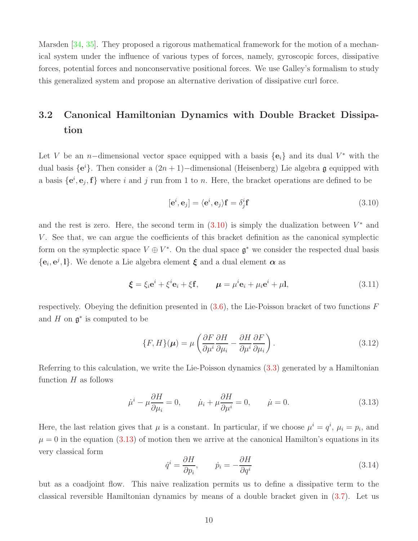Marsden [\[34,](#page-23-10) [35\]](#page-23-11). They proposed a rigorous mathematical framework for the motion of a mechanical system under the influence of various types of forces, namely, gyroscopic forces, dissipative forces, potential forces and nonconservative positional forces. We use Galley's formalism to study this generalized system and propose an alternative derivation of dissipative curl force.

# <span id="page-9-0"></span>3.2 Canonical Hamiltonian Dynamics with Double Bracket Dissipation

Let V be an n-dimensional vector space equipped with a basis  ${e_i}$  and its dual V<sup>\*</sup> with the dual basis  $\{e^{i}\}\$ . Then consider a  $(2n + 1)$ –dimensional (Heisenberg) Lie algebra g equipped with a basis  $\{e^i, e_j, f\}$  where i and j run from 1 to n. Here, the bracket operations are defined to be

<span id="page-9-1"></span>
$$
[\mathbf{e}^i, \mathbf{e}_j] = \langle \mathbf{e}^i, \mathbf{e}_j \rangle \mathbf{f} = \delta_j^i \mathbf{f}
$$
 (3.10)

and the rest is zero. Here, the second term in  $(3.10)$  is simply the dualization between  $V^*$  and V . See that, we can argue the coefficients of this bracket definition as the canonical symplectic form on the symplectic space  $V \oplus V^*$ . On the dual space  $\mathfrak{g}^*$  we consider the respected dual basis  ${e_i, e^j, l}$ . We denote a Lie algebra element  $\xi$  and a dual element  $\alpha$  as

$$
\boldsymbol{\xi} = \xi_i \mathbf{e}^i + \xi^i \mathbf{e}_i + \xi \mathbf{f}, \qquad \boldsymbol{\mu} = \mu^i \mathbf{e}_i + \mu_i \mathbf{e}^i + \mu \mathbf{I}, \tag{3.11}
$$

respectively. Obeying the definition presented in  $(3.6)$ , the Lie-Poisson bracket of two functions F and  $H$  on  $\mathfrak{g}^*$  is computed to be

<span id="page-9-3"></span>
$$
\{F, H\}(\mu) = \mu \left( \frac{\partial F}{\partial \mu^i} \frac{\partial H}{\partial \mu_i} - \frac{\partial H}{\partial \mu^i} \frac{\partial F}{\partial \mu_i} \right). \tag{3.12}
$$

Referring to this calculation, we write the Lie-Poisson dynamics [\(3.3\)](#page-7-3) generated by a Hamiltonian function  $H$  as follows

<span id="page-9-2"></span>
$$
\dot{\mu}^i - \mu \frac{\partial H}{\partial \mu_i} = 0, \qquad \dot{\mu}_i + \mu \frac{\partial H}{\partial \mu^i} = 0, \qquad \dot{\mu} = 0.
$$
\n(3.13)

Here, the last relation gives that  $\mu$  is a constant. In particular, if we choose  $\mu^i = q^i$ ,  $\mu_i = p_i$ , and  $\mu = 0$  in the equation [\(3.13\)](#page-9-2) of motion then we arrive at the canonical Hamilton's equations in its very classical form

$$
\dot{q}^i = \frac{\partial H}{\partial p_i}, \qquad \dot{p}_i = -\frac{\partial H}{\partial q^i} \tag{3.14}
$$

but as a coadjoint flow. This naive realization permits us to define a dissipative term to the classical reversible Hamiltonian dynamics by means of a double bracket given in [\(3.7\)](#page-8-0). Let us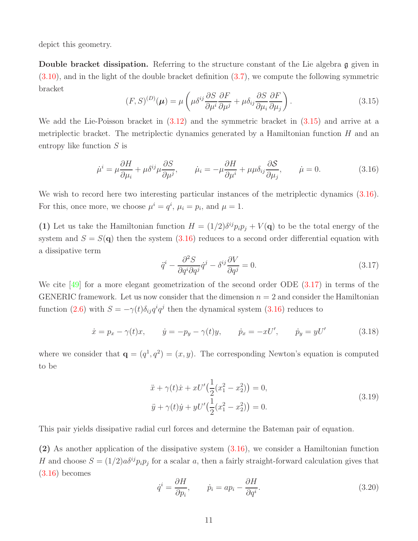depict this geometry.

**Double bracket dissipation.** Referring to the structure constant of the Lie algebra  $\mathfrak{g}$  given in  $(3.10)$ , and in the light of the double bracket definition  $(3.7)$ , we compute the following symmetric bracket

<span id="page-10-0"></span>
$$
(F, S)^{(D)}(\boldsymbol{\mu}) = \mu \left( \mu \delta^{ij} \frac{\partial S}{\partial \mu^i} \frac{\partial F}{\partial \mu^j} + \mu \delta_{ij} \frac{\partial S}{\partial \mu_i} \frac{\partial F}{\partial \mu_j} \right).
$$
(3.15)

We add the Lie-Poisson bracket in  $(3.12)$  and the symmetric bracket in  $(3.15)$  and arrive at a metriplectic bracket. The metriplectic dynamics generated by a Hamiltonian function  $H$  and an entropy like function S is

<span id="page-10-1"></span>
$$
\dot{\mu}^i = \mu \frac{\partial H}{\partial \mu_i} + \mu \delta^{ij} \mu \frac{\partial S}{\partial \mu^j}, \qquad \dot{\mu}_i = -\mu \frac{\partial H}{\partial \mu^i} + \mu \mu \delta_{ij} \frac{\partial S}{\partial \mu_j}, \qquad \dot{\mu} = 0. \tag{3.16}
$$

We wish to record here two interesting particular instances of the metriplectic dynamics [\(3.16\)](#page-10-1). For this, once more, we choose  $\mu^i = q^i$ ,  $\mu_i = p_i$ , and  $\mu = 1$ .

(1) Let us take the Hamiltonian function  $H = (1/2)\delta^{ij} p_i p_j + V(q)$  to be the total energy of the system and  $S = S(\mathbf{q})$  then the system  $(3.16)$  reduces to a second order differential equation with a dissipative term

<span id="page-10-2"></span>
$$
\ddot{q}^i - \frac{\partial^2 S}{\partial q^i \partial q^j} \dot{q}^j - \delta^{ij} \frac{\partial V}{\partial q^j} = 0.
$$
\n(3.17)

We cite [\[49\]](#page-24-10) for a more elegant geometrization of the second order ODE [\(3.17\)](#page-10-2) in terms of the GENERIC framework. Let us now consider that the dimension  $n = 2$  and consider the Hamiltonian function [\(2.6\)](#page-4-1) with  $S = -\gamma(t)\delta_{ij}q^i q^j$  then the dynamical system [\(3.16\)](#page-10-1) reduces to

$$
\dot{x} = p_x - \gamma(t)x
$$
,  $\dot{y} = -p_y - \gamma(t)y$ ,  $\dot{p}_x = -xU'$ ,  $\dot{p}_y = yU'$  (3.18)

where we consider that  $\mathbf{q} = (q^1, q^2) = (x, y)$ . The corresponding Newton's equation is computed to be

$$
\ddot{x} + \gamma(t)\dot{x} + xU'\left(\frac{1}{2}(x_1^2 - x_2^2)\right) = 0,
$$
  
\n
$$
\ddot{y} + \gamma(t)\dot{y} + yU'\left(\frac{1}{2}(x_1^2 - x_2^2)\right) = 0.
$$
\n(3.19)

<span id="page-10-4"></span>This pair yields dissipative radial curl forces and determine the Bateman pair of equation.

(2) As another application of the dissipative system [\(3.16\)](#page-10-1), we consider a Hamiltonian function H and choose  $S = (1/2)a\delta^{ij}p_i p_j$  for a scalar a, then a fairly straight-forward calculation gives that  $(3.16)$  becomes

<span id="page-10-3"></span>
$$
\dot{q}^i = \frac{\partial H}{\partial p_i}, \qquad \dot{p}_i = ap_i - \frac{\partial H}{\partial q^i}.
$$
\n(3.20)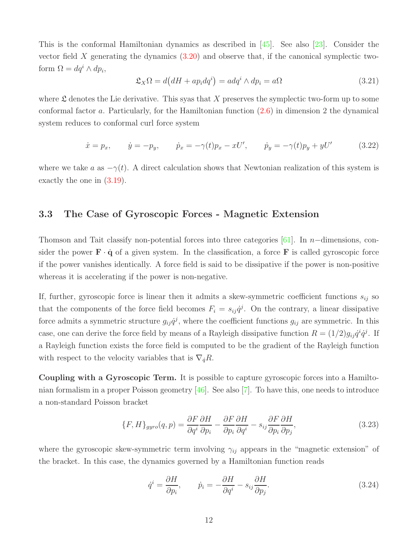This is the conformal Hamiltonian dynamics as described in  $\left[45\right]$ . See also  $\left[23\right]$ . Consider the vector field X generating the dynamics  $(3.20)$  and observe that, if the canonical symplectic twoform  $\Omega = dq^i \wedge dp_i$ ,

$$
\mathfrak{L}_X \Omega = d\big(dH + ap_i dq^i\big) = adq^i \wedge dp_i = a\Omega \tag{3.21}
$$

where  $\mathfrak L$  denotes the Lie derivative. This syas that X preserves the symplectic two-form up to some conformal factor a. Particularly, for the Hamiltonian function [\(2.6\)](#page-4-1) in dimension 2 the dynamical system reduces to conformal curl force system

<span id="page-11-3"></span>
$$
\dot{x} = p_x, \qquad \dot{y} = -p_y, \qquad \dot{p}_x = -\gamma(t)p_x - xU', \qquad \dot{p}_y = -\gamma(t)p_y + yU'
$$
\n(3.22)

<span id="page-11-0"></span>where we take a as  $-\gamma(t)$ . A direct calculation shows that Newtonian realization of this system is exactly the one in [\(3.19\)](#page-10-4).

#### 3.3 The Case of Gyroscopic Forces - Magnetic Extension

Thomson and Tait classify non-potential forces into three categories [\[61\]](#page-25-9). In n−dimensions, consider the power  $\mathbf{F} \cdot \dot{\mathbf{q}}$  of a given system. In the classification, a force  $\mathbf{F}$  is called gyroscopic force if the power vanishes identically. A force field is said to be dissipative if the power is non-positive whereas it is accelerating if the power is non-negative.

If, further, gyroscopic force is linear then it admits a skew-symmetric coefficient functions  $s_{ij}$  so that the components of the force field becomes  $F_i = s_{ij} \dot{q}^j$ . On the contrary, a linear dissipative force admits a symmetric structure  $g_{ij}\dot{q}^j$ , where the coefficient functions  $g_{ij}$  are symmetric. In this case, one can derive the force field by means of a Rayleigh dissipative function  $R = (1/2)g_{ij}\dot{q}^i\dot{q}^j$ . If a Rayleigh function exists the force field is computed to be the gradient of the Rayleigh function with respect to the velocity variables that is  $\nabla_q R$ .

Coupling with a Gyroscopic Term. It is possible to capture gyroscopic forces into a Hamiltonian formalism in a proper Poisson geometry [\[46\]](#page-24-7). See also [\[7\]](#page-21-5). To have this, one needs to introduce a non-standard Poisson bracket

<span id="page-11-2"></span>
$$
\{F, H\}_{gyro}(q, p) = \frac{\partial F}{\partial q^i} \frac{\partial H}{\partial p_i} - \frac{\partial F}{\partial p_i} \frac{\partial H}{\partial q^i} - s_{ij} \frac{\partial F}{\partial p_i} \frac{\partial H}{\partial p_j},\tag{3.23}
$$

where the gyroscopic skew-symmetric term involving  $\gamma_{ij}$  appears in the "magnetic extension" of the bracket. In this case, the dynamics governed by a Hamiltonian function reads

<span id="page-11-1"></span>
$$
\dot{q}^i = \frac{\partial H}{\partial p_i}, \qquad \dot{p}_i = -\frac{\partial H}{\partial q^i} - s_{ij} \frac{\partial H}{\partial p_j}.
$$
\n(3.24)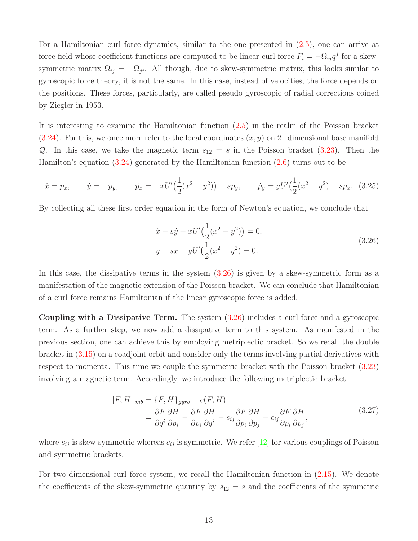For a Hamiltonian curl force dynamics, similar to the one presented in [\(2.5\)](#page-3-1), one can arrive at force field whose coefficient functions are computed to be linear curl force  $F_i = -\Omega_{ij}q^j$  for a skewsymmetric matrix  $\Omega_{ij} = -\Omega_{ji}$ . All though, due to skew-symmetric matrix, this looks similar to gyroscopic force theory, it is not the same. In this case, instead of velocities, the force depends on the positions. These forces, particularly, are called pseudo gyroscopic of radial corrections coined by Ziegler in 1953.

It is interesting to examine the Hamiltonian function [\(2.5\)](#page-3-1) in the realm of the Poisson bracket [\(3.24\)](#page-11-1). For this, we once more refer to the local coordinates  $(x, y)$  on 2–dimensional base manifold Q. In this case, we take the magnetic term  $s_{12} = s$  in the Poisson bracket [\(3.23\)](#page-11-2). Then the Hamilton's equation [\(3.24\)](#page-11-1) generated by the Hamiltonian function [\(2.6\)](#page-4-1) turns out to be

$$
\dot{x} = p_x, \qquad \dot{y} = -p_y, \qquad \dot{p}_x = -xU'\left(\frac{1}{2}(x^2 - y^2)\right) + sp_y, \qquad \dot{p}_y = yU'\left(\frac{1}{2}(x^2 - y^2)\right) - sp_x. \tag{3.25}
$$

<span id="page-12-0"></span>By collecting all these first order equation in the form of Newton's equation, we conclude that

$$
\ddot{x} + s\dot{y} + xU'\left(\frac{1}{2}(x^2 - y^2)\right) = 0,
$$
  
\n
$$
\ddot{y} - s\dot{x} + yU'\left(\frac{1}{2}(x^2 - y^2)\right) = 0.
$$
\n(3.26)

In this case, the dissipative terms in the system [\(3.26\)](#page-12-0) is given by a skew-symmetric form as a manifestation of the magnetic extension of the Poisson bracket. We can conclude that Hamiltonian of a curl force remains Hamiltonian if the linear gyroscopic force is added.

Coupling with a Dissipative Term. The system [\(3.26\)](#page-12-0) includes a curl force and a gyroscopic term. As a further step, we now add a dissipative term to this system. As manifested in the previous section, one can achieve this by employing metriplectic bracket. So we recall the double bracket in [\(3.15\)](#page-10-0) on a coadjoint orbit and consider only the terms involving partial derivatives with respect to momenta. This time we couple the symmetric bracket with the Poisson bracket [\(3.23\)](#page-11-2) involving a magnetic term. Accordingly, we introduce the following metriplectic bracket

$$
[[F, H]]_{mb} = \{F, H\}_{gyro} + c(F, H)
$$
  
=  $\frac{\partial F}{\partial q^i} \frac{\partial H}{\partial p_i} - \frac{\partial F}{\partial p_i} \frac{\partial H}{\partial q^i} - s_{ij} \frac{\partial F}{\partial p_i} \frac{\partial H}{\partial p_j} + c_{ij} \frac{\partial F}{\partial p_i} \frac{\partial H}{\partial p_j},$  (3.27)

where  $s_{ij}$  is skew-symmetric whereas  $c_{ij}$  is symmetric. We refer [\[12\]](#page-22-8) for various couplings of Poisson and symmetric brackets.

For two dimensional curl force system, we recall the Hamiltonian function in [\(2.15\)](#page-6-2). We denote the coefficients of the skew-symmetric quantity by  $s_{12} = s$  and the coefficients of the symmetric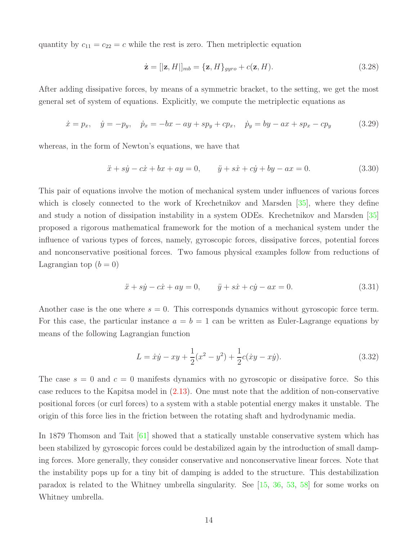quantity by  $c_{11} = c_{22} = c$  while the rest is zero. Then metriplectic equation

$$
\dot{\mathbf{z}} = [|\mathbf{z}, H]|_{mb} = {\mathbf{z}, H}_{gyro} + c(\mathbf{z}, H). \tag{3.28}
$$

After adding dissipative forces, by means of a symmetric bracket, to the setting, we get the most general set of system of equations. Explicitly, we compute the metriplectic equations as

$$
\dot{x} = p_x, \quad \dot{y} = -p_y, \quad \dot{p}_x = -bx - ay + sp_y + cp_x, \quad \dot{p}_y = by -ax + sp_x - cp_y \tag{3.29}
$$

whereas, in the form of Newton's equations, we have that

$$
\ddot{x} + s\dot{y} - c\dot{x} + bx + ay = 0, \qquad \ddot{y} + s\dot{x} + c\dot{y} + by - ax = 0.
$$
 (3.30)

This pair of equations involve the motion of mechanical system under influences of various forces which is closely connected to the work of Krechetnikov and Marsden [\[35\]](#page-23-11), where they define and study a notion of dissipation instability in a system ODEs. Krechetnikov and Marsden [\[35\]](#page-23-11) proposed a rigorous mathematical framework for the motion of a mechanical system under the influence of various types of forces, namely, gyroscopic forces, dissipative forces, potential forces and nonconservative positional forces. Two famous physical examples follow from reductions of Lagrangian top  $(b = 0)$ 

$$
\ddot{x} + s\dot{y} - c\dot{x} + ay = 0, \qquad \ddot{y} + s\dot{x} + c\dot{y} - ax = 0.
$$
 (3.31)

Another case is the one where  $s = 0$ . This corresponds dynamics without gyroscopic force term. For this case, the particular instance  $a = b = 1$  can be written as Euler-Lagrange equations by means of the following Lagrangian function

$$
L = \dot{x}\dot{y} - xy + \frac{1}{2}(x^2 - y^2) + \frac{1}{2}c(\dot{x}y - x\dot{y}).
$$
\n(3.32)

The case  $s = 0$  and  $c = 0$  manifests dynamics with no gyroscopic or dissipative force. So this case reduces to the Kapitsa model in [\(2.13\)](#page-6-1). One must note that the addition of non-conservative positional forces (or curl forces) to a system with a stable potential energy makes it unstable. The origin of this force lies in the friction between the rotating shaft and hydrodynamic media.

In 1879 Thomson and Tait [\[61\]](#page-25-9) showed that a statically unstable conservative system which has been stabilized by gyroscopic forces could be destabilized again by the introduction of small damping forces. More generally, they consider conservative and nonconservative linear forces. Note that the instability pops up for a tiny bit of damping is added to the structure. This destabilization paradox is related to the Whitney umbrella singularity. See [\[15,](#page-22-9) [36,](#page-23-13) [53,](#page-25-10) [58\]](#page-25-11) for some works on Whitney umbrella.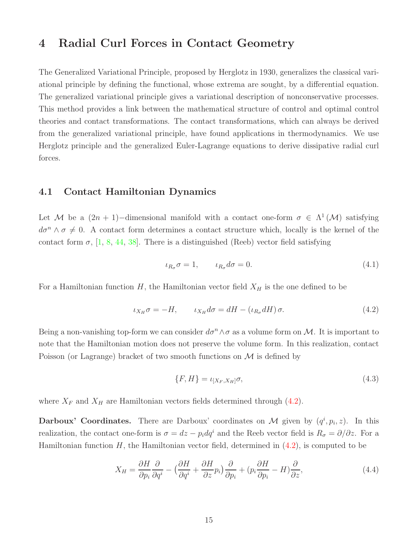## <span id="page-14-0"></span>4 Radial Curl Forces in Contact Geometry

The Generalized Variational Principle, proposed by Herglotz in 1930, generalizes the classical variational principle by defining the functional, whose extrema are sought, by a differential equation. The generalized variational principle gives a variational description of nonconservative processes. This method provides a link between the mathematical structure of control and optimal control theories and contact transformations. The contact transformations, which can always be derived from the generalized variational principle, have found applications in thermodynamics. We use Herglotz principle and the generalized Euler-Lagrange equations to derive dissipative radial curl forces.

#### <span id="page-14-1"></span>4.1 Contact Hamiltonian Dynamics

Let M be a  $(2n + 1)$ -dimensional manifold with a contact one-form  $\sigma \in \Lambda^1(\mathcal{M})$  satisfying  $d\sigma^n \wedge \sigma \neq 0$ . A contact form determines a contact structure which, locally is the kernel of the contact form  $\sigma$ , [\[1,](#page-21-6) [8,](#page-22-10) [44,](#page-24-12) [38\]](#page-24-13). There is a distinguished (Reeb) vector field satisfying

$$
\iota_{R_{\sigma}}\sigma = 1, \qquad \iota_{R_{\sigma}}d\sigma = 0. \tag{4.1}
$$

For a Hamiltonian function  $H$ , the Hamiltonian vector field  $X_H$  is the one defined to be

<span id="page-14-2"></span>
$$
\iota_{X_H}\sigma = -H, \qquad \iota_{X_H}d\sigma = dH - (\iota_{R_\sigma}dH)\sigma. \tag{4.2}
$$

Being a non-vanishing top-form we can consider  $d\sigma^n \wedge \sigma$  as a volume form on M. It is important to note that the Hamiltonian motion does not preserve the volume form. In this realization, contact Poisson (or Lagrange) bracket of two smooth functions on  $\mathcal M$  is defined by

<span id="page-14-3"></span>
$$
\{F, H\} = \iota_{[X_F, X_H]} \sigma,\tag{4.3}
$$

where  $X_F$  and  $X_H$  are Hamiltonian vectors fields determined through [\(4.2\)](#page-14-2).

**Darboux' Coordinates.** There are Darboux' coordinates on M given by  $(q^i, p_i, z)$ . In this realization, the contact one-form is  $\sigma = dz - p_i dq^i$  and the Reeb vector field is  $R_{\sigma} = \partial/\partial z$ . For a Hamiltonian function  $H$ , the Hamiltonian vector field, determined in  $(4.2)$ , is computed to be

$$
X_H = \frac{\partial H}{\partial p_i} \frac{\partial}{\partial q^i} - \left(\frac{\partial H}{\partial q^i} + \frac{\partial H}{\partial z} p_i\right) \frac{\partial}{\partial p_i} + \left(p_i \frac{\partial H}{\partial p_i} - H\right) \frac{\partial}{\partial z},\tag{4.4}
$$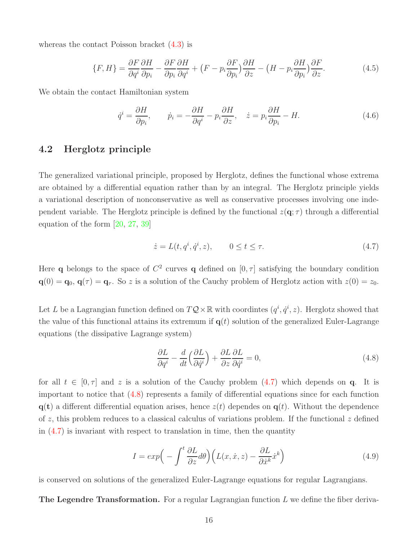whereas the contact Poisson bracket  $(4.3)$  is

$$
\{F, H\} = \frac{\partial F}{\partial q^i} \frac{\partial H}{\partial p_i} - \frac{\partial F}{\partial p_i} \frac{\partial H}{\partial q^i} + \left(F - p_i \frac{\partial F}{\partial p_i}\right) \frac{\partial H}{\partial z} - \left(H - p_i \frac{\partial H}{\partial p_i}\right) \frac{\partial F}{\partial z}.
$$
(4.5)

We obtain the contact Hamiltonian system

<span id="page-15-3"></span>
$$
\dot{q}^i = \frac{\partial H}{\partial p_i}, \qquad \dot{p}_i = -\frac{\partial H}{\partial q^i} - p_i \frac{\partial H}{\partial z}, \quad \dot{z} = p_i \frac{\partial H}{\partial p_i} - H.
$$
\n(4.6)

### <span id="page-15-0"></span>4.2 Herglotz principle

The generalized variational principle, proposed by Herglotz, defines the functional whose extrema are obtained by a differential equation rather than by an integral. The Herglotz principle yields a variational description of nonconservative as well as conservative processes involving one independent variable. The Herglotz principle is defined by the functional  $z(\mathbf{q}; \tau)$  through a differential equation of the form [\[20,](#page-22-11) [27,](#page-23-14) [39\]](#page-24-14)

<span id="page-15-1"></span>
$$
\dot{z} = L(t, q^i, \dot{q}^i, z), \qquad 0 \le t \le \tau. \tag{4.7}
$$

Here q belongs to the space of  $C^2$  curves q defined on  $[0, \tau]$  satisfying the boundary condition  $\mathbf{q}(0) = \mathbf{q}_0, \mathbf{q}(\tau) = \mathbf{q}_{\tau}$ . So z is a solution of the Cauchy problem of Herglotz action with  $z(0) = z_0$ .

Let L be a Lagrangian function defined on  $TQ \times \mathbb{R}$  with coordintes  $(q^i, \dot{q}^i, z)$ . Herglotz showed that the value of this functional attains its extremum if  $q(t)$  solution of the generalized Euler-Lagrange equations (the dissipative Lagrange system)

<span id="page-15-2"></span>
$$
\frac{\partial L}{\partial q^i} - \frac{d}{dt} \left( \frac{\partial L}{\partial \dot{q}^i} \right) + \frac{\partial L}{\partial z} \frac{\partial L}{\partial \dot{q}^i} = 0,
$$
\n(4.8)

for all  $t \in [0, \tau]$  and z is a solution of the Cauchy problem  $(4.7)$  which depends on q. It is important to notice that [\(4.8\)](#page-15-2) represents a family of differential equations since for each function  $q(t)$  a different differential equation arises, hence  $z(t)$  dependes on  $q(t)$ . Without the dependence of z, this problem reduces to a classical calculus of variations problem. If the functional z defined in  $(4.7)$  is invariant with respect to translation in time, then the quantity

<span id="page-15-4"></span>
$$
I = exp\left(-\int^t \frac{\partial L}{\partial z} d\theta\right) \left(L(x, \dot{x}, z) - \frac{\partial L}{\partial \dot{x}^k} \dot{x}^k\right)
$$
(4.9)

is conserved on solutions of the generalized Euler-Lagrange equations for regular Lagrangians.

**The Legendre Transformation.** For a regular Lagrangian function  $L$  we define the fiber deriva-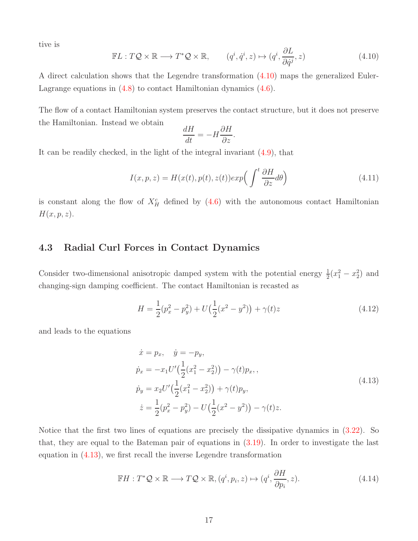tive is

<span id="page-16-1"></span>
$$
\mathbb{F}L: T\mathcal{Q} \times \mathbb{R} \longrightarrow T^*\mathcal{Q} \times \mathbb{R}, \qquad (q^i, \dot{q}^i, z) \mapsto (q^i, \frac{\partial L}{\partial \dot{q}^j}, z)
$$
(4.10)

∂L

A direct calculation shows that the Legendre transformation [\(4.10\)](#page-16-1) maps the generalized Euler-Lagrange equations in [\(4.8\)](#page-15-2) to contact Hamiltonian dynamics [\(4.6\)](#page-15-3).

The flow of a contact Hamiltonian system preserves the contact structure, but it does not preserve the Hamiltonian. Instead we obtain

$$
\frac{dH}{dt} = -H\frac{\partial H}{\partial z}.
$$

It can be readily checked, in the light of the integral invariant [\(4.9\)](#page-15-4), that

$$
I(x, p, z) = H(x(t), p(t), z(t)) exp\left(\int^t \frac{\partial H}{\partial z} d\theta\right)
$$
\n(4.11)

<span id="page-16-0"></span>is constant along the flow of  $X_H^c$  defined by  $(4.6)$  with the autonomous contact Hamiltonian  $H(x, p, z)$ .

### 4.3 Radial Curl Forces in Contact Dynamics

Consider two-dimensional anisotropic damped system with the potential energy  $\frac{1}{2}(x_1^2 - x_2^2)$  and changing-sign damping coefficient. The contact Hamiltonian is recasted as

<span id="page-16-3"></span>
$$
H = \frac{1}{2}(p_x^2 - p_y^2) + U(\frac{1}{2}(x^2 - y^2)) + \gamma(t)z
$$
\n(4.12)

<span id="page-16-2"></span>and leads to the equations

$$
\begin{aligned}\n\dot{x} &= p_x, \quad \dot{y} = -p_y, \\
\dot{p}_x &= -x_1 U' \Big(\frac{1}{2} (x_1^2 - x_2^2)\Big) - \gamma(t) p_x, \\
\dot{p}_y &= x_2 U' \Big(\frac{1}{2} (x_1^2 - x_2^2)\Big) + \gamma(t) p_y, \\
\dot{z} &= \frac{1}{2} (p_x^2 - p_y^2) - U \Big(\frac{1}{2} (x^2 - y^2)\Big) - \gamma(t) z.\n\end{aligned} \tag{4.13}
$$

Notice that the first two lines of equations are precisely the dissipative dynamics in  $(3.22)$ . So that, they are equal to the Bateman pair of equations in [\(3.19\)](#page-10-4). In order to investigate the last equation in [\(4.13\)](#page-16-2), we first recall the inverse Legendre transformation

$$
\mathbb{F}H: T^*\mathcal{Q} \times \mathbb{R} \longrightarrow T\mathcal{Q} \times \mathbb{R}, (q^i, p_i, z) \mapsto (q^i, \frac{\partial H}{\partial p_i}, z). \tag{4.14}
$$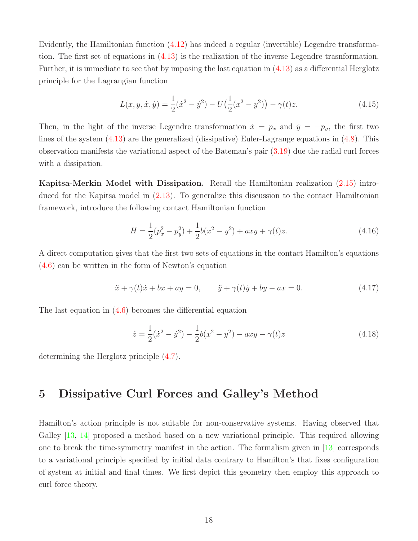Evidently, the Hamiltonian function [\(4.12\)](#page-16-3) has indeed a regular (invertible) Legendre transformation. The first set of equations in [\(4.13\)](#page-16-2) is the realization of the inverse Legendre trasnformation. Further, it is immediate to see that by imposing the last equation in [\(4.13\)](#page-16-2) as a differential Herglotz principle for the Lagrangian function

$$
L(x, y, \dot{x}, \dot{y}) = \frac{1}{2}(\dot{x}^2 - \dot{y}^2) - U(\frac{1}{2}(x^2 - y^2)) - \gamma(t)z.
$$
 (4.15)

Then, in the light of the inverse Legendre transformation  $\dot{x} = p_x$  and  $\dot{y} = -p_y$ , the first two lines of the system [\(4.13\)](#page-16-2) are the generalized (dissipative) Euler-Lagrange equations in [\(4.8\)](#page-15-2). This observation manifests the variational aspect of the Bateman's pair [\(3.19\)](#page-10-4) due the radial curl forces with a dissipation.

Kapitsa-Merkin Model with Dissipation. Recall the Hamiltonian realization [\(2.15\)](#page-6-2) introduced for the Kapitsa model in [\(2.13\)](#page-6-1). To generalize this discussion to the contact Hamiltonian framework, introduce the following contact Hamiltonian function

$$
H = \frac{1}{2}(p_x^2 - p_y^2) + \frac{1}{2}b(x^2 - y^2) + axy + \gamma(t)z.
$$
\n(4.16)

A direct computation gives that the first two sets of equations in the contact Hamilton's equations [\(4.6\)](#page-15-3) can be written in the form of Newton's equation

$$
\ddot{x} + \gamma(t)\dot{x} + bx + ay = 0, \qquad \ddot{y} + \gamma(t)\dot{y} + by - ax = 0.
$$
 (4.17)

The last equation in [\(4.6\)](#page-15-3) becomes the differential equation

$$
\dot{z} = \frac{1}{2}(\dot{x}^2 - \dot{y}^2) - \frac{1}{2}b(x^2 - y^2) - axy - \gamma(t)z
$$
\n(4.18)

<span id="page-17-0"></span>determining the Herglotz principle [\(4.7\)](#page-15-1).

## 5 Dissipative Curl Forces and Galley's Method

Hamilton's action principle is not suitable for non-conservative systems. Having observed that Galley [\[13,](#page-22-12) [14\]](#page-22-13) proposed a method based on a new variational principle. This required allowing one to break the time-symmetry manifest in the action. The formalism given in [\[13\]](#page-22-12) corresponds to a variational principle specified by initial data contrary to Hamilton's that fixes configuration of system at initial and final times. We first depict this geometry then employ this approach to curl force theory.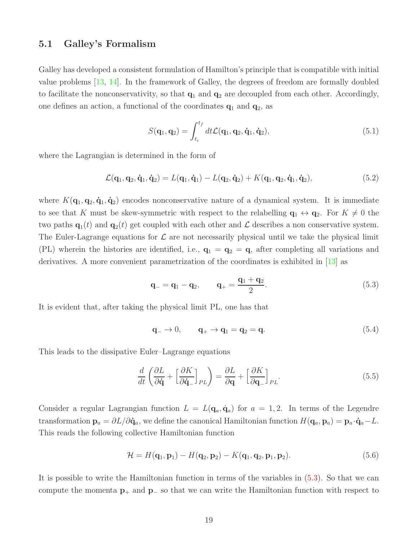#### <span id="page-18-0"></span>5.1 Galley's Formalism

Galley has developed a consistent formulation of Hamilton's principle that is compatible with initial value problems [\[13,](#page-22-12) [14\]](#page-22-13). In the framework of Galley, the degrees of freedom are formally doubled to facilitate the nonconservativity, so that  $q_1$  and  $q_2$  are decoupled from each other. Accordingly, one defines an action, a functional of the coordinates  $q_1$  and  $q_2$ , as

$$
S(\mathbf{q}_1, \mathbf{q}_2) = \int_{t_i}^{t_f} dt \mathcal{L}(\mathbf{q}_1, \mathbf{q}_2, \dot{\mathbf{q}}_1, \dot{\mathbf{q}}_2), \qquad (5.1)
$$

where the Lagrangian is determined in the form of

$$
\mathcal{L}(\mathbf{q}_1, \mathbf{q}_2, \dot{\mathbf{q}}_1, \dot{\mathbf{q}}_2) = L(\mathbf{q}_1, \dot{\mathbf{q}}_1) - L(\mathbf{q}_2, \dot{\mathbf{q}}_2) + K(\mathbf{q}_1, \mathbf{q}_2, \dot{\mathbf{q}}_1, \dot{\mathbf{q}}_2),
$$
\n(5.2)

where  $K(\mathbf{q}_1, \mathbf{q}_2, \dot{\mathbf{q}}_1, \dot{\mathbf{q}}_2)$  encodes nonconservative nature of a dynamical system. It is immediate to see that K must be skew-symmetric with respect to the relabelling  $\mathbf{q}_1 \leftrightarrow \mathbf{q}_2$ . For  $K \neq 0$  the two paths  $\mathbf{q}_1(t)$  and  $\mathbf{q}_2(t)$  get coupled with each other and  $\mathcal L$  describes a non conservative system. The Euler-Lagrange equations for  $\mathcal L$  are not necessarily physical until we take the physical limit (PL) wherein the histories are identified, i.e.,  $\mathbf{q}_1 = \mathbf{q}_2 = \mathbf{q}$ , after completing all variations and derivatives. A more convenient parametrization of the coordinates is exhibited in [\[13\]](#page-22-12) as

<span id="page-18-1"></span>
$$
\mathbf{q}_{-} = \mathbf{q}_{1} - \mathbf{q}_{2}, \qquad \mathbf{q}_{+} = \frac{\mathbf{q}_{1} + \mathbf{q}_{2}}{2}.
$$
\n
$$
(5.3)
$$

It is evident that, after taking the physical limit PL, one has that

<span id="page-18-2"></span>
$$
\mathbf{q}_{-} \rightarrow 0, \qquad \mathbf{q}_{+} \rightarrow \mathbf{q}_{1} = \mathbf{q}_{2} = \mathbf{q}.\tag{5.4}
$$

This leads to the dissipative Euler–Lagrange equations

<span id="page-18-3"></span>
$$
\frac{d}{dt}\left(\frac{\partial L}{\partial \dot{\mathbf{q}}} + \left[\frac{\partial K}{\partial \dot{\mathbf{q}}}\right]_{PL}\right) = \frac{\partial L}{\partial \mathbf{q}} + \left[\frac{\partial K}{\partial \mathbf{q}_{-}}\right]_{PL}.
$$
\n(5.5)

Consider a regular Lagrangian function  $L = L(\mathbf{q}_a, \dot{\mathbf{q}}_a)$  for  $a = 1, 2$ . In terms of the Legendre transformation  $\mathbf{p}_a = \partial L/\partial \dot{\mathbf{q}}_a$ , we define the canonical Hamiltonian function  $H(\mathbf{q}_a, \mathbf{p}_a) = \mathbf{p}_a \cdot \dot{\mathbf{q}}_a - L$ . This reads the following collective Hamiltonian function

$$
\mathcal{H} = H(\mathbf{q}_1, \mathbf{p}_1) - H(\mathbf{q}_2, \mathbf{p}_2) - K(\mathbf{q}_1, \mathbf{q}_2, \mathbf{p}_1, \mathbf{p}_2). \tag{5.6}
$$

It is possible to write the Hamiltonian function in terms of the variables in [\(5.3\)](#page-18-1). So that we can compute the momenta  $p_+$  and  $p_-\infty$  that we can write the Hamiltonian function with respect to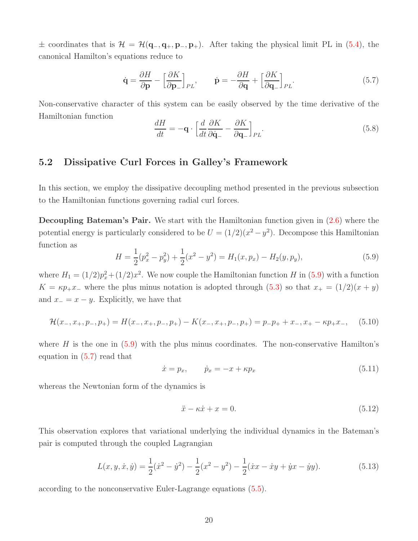$\pm$  coordinates that is  $\mathcal{H} = \mathcal{H}(\mathbf{q}_-,\mathbf{q}_+,\mathbf{p}_-,\mathbf{p}_+).$  After taking the physical limit PL in [\(5.4\)](#page-18-2), the canonical Hamilton's equations reduce to

<span id="page-19-2"></span>
$$
\dot{\mathbf{q}} = \frac{\partial H}{\partial \mathbf{p}} - \left[\frac{\partial K}{\partial \mathbf{p}_{-}}\right]_{PL}, \qquad \dot{\mathbf{p}} = -\frac{\partial H}{\partial \mathbf{q}} + \left[\frac{\partial K}{\partial \mathbf{q}_{-}}\right]_{PL}.
$$
 (5.7)

Non-conservative character of this system can be easily observed by the time derivative of the Hamiltonian function

$$
\frac{dH}{dt} = -\mathbf{q} \cdot \left[ \frac{d}{dt} \frac{\partial K}{\partial \dot{\mathbf{q}}_{-}} - \frac{\partial K}{\partial \mathbf{q}_{-}} \right]_{PL}.
$$
\n(5.8)

### <span id="page-19-0"></span>5.2 Dissipative Curl Forces in Galley's Framework

In this section, we employ the dissipative decoupling method presented in the previous subsection to the Hamiltonian functions governing radial curl forces.

Decoupling Bateman's Pair. We start with the Hamiltonian function given in [\(2.6\)](#page-4-1) where the potential energy is particularly considered to be  $U = (1/2)(x^2 - y^2)$ . Decompose this Hamiltonian function as

<span id="page-19-1"></span>
$$
H = \frac{1}{2}(p_x^2 - p_y^2) + \frac{1}{2}(x^2 - y^2) = H_1(x, p_x) - H_2(y, p_y),
$$
\n(5.9)

where  $H_1 = (1/2)p_x^2 + (1/2)x^2$ . We now couple the Hamiltonian function H in [\(5.9\)](#page-19-1) with a function  $K = \kappa p_+ x_-$  where the plus minus notation is adopted through [\(5.3\)](#page-18-1) so that  $x_+ = (1/2)(x + y)$ and  $x_ - = x - y$ . Explicitly, we have that

$$
\mathcal{H}(x_-, x_+, p_-, p_+) = H(x_-, x_+, p_-, p_+) - K(x_-, x_+, p_-, p_+) = p_-p_+ + x_-, x_+ - \kappa p_+ x_-, \tag{5.10}
$$

where  $H$  is the one in  $(5.9)$  with the plus minus coordinates. The non-conservative Hamilton's equation in [\(5.7\)](#page-19-2) read that

$$
\dot{x} = p_x, \qquad \dot{p}_x = -x + \kappa p_x \tag{5.11}
$$

whereas the Newtonian form of the dynamics is

$$
\ddot{x} - \kappa \dot{x} + x = 0. \tag{5.12}
$$

This observation explores that variational underlying the individual dynamics in the Bateman's pair is computed through the coupled Lagrangian

$$
L(x, y, \dot{x}, \dot{y}) = \frac{1}{2}(\dot{x}^2 - \dot{y}^2) - \frac{1}{2}(x^2 - y^2) - \frac{1}{2}(\dot{x}x - \dot{x}y + \dot{y}x - \dot{y}y).
$$
(5.13)

according to the nonconservative Euler-Lagrange equations [\(5.5\)](#page-18-3).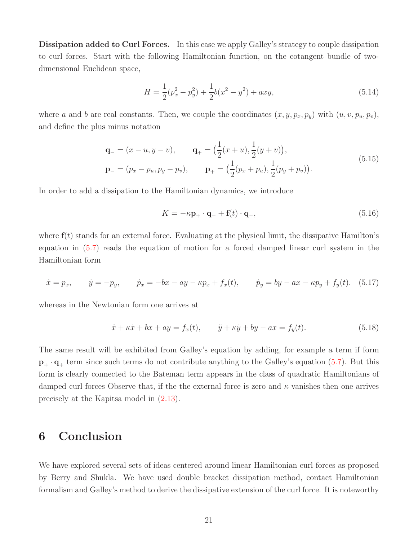Dissipation added to Curl Forces. In this case we apply Galley's strategy to couple dissipation to curl forces. Start with the following Hamiltonian function, on the cotangent bundle of twodimensional Euclidean space,

$$
H = \frac{1}{2}(p_x^2 - p_y^2) + \frac{1}{2}b(x^2 - y^2) + axy,
$$
\n(5.14)

where a and b are real constants. Then, we couple the coordinates  $(x, y, p_x, p_y)$  with  $(u, v, p_u, p_v)$ , and define the plus minus notation

$$
\mathbf{q}_{-} = (x - u, y - v), \qquad \mathbf{q}_{+} = \left(\frac{1}{2}(x + u), \frac{1}{2}(y + v)\right),
$$
  
\n
$$
\mathbf{p}_{-} = (p_x - p_u, p_y - p_v), \qquad \mathbf{p}_{+} = \left(\frac{1}{2}(p_x + p_u), \frac{1}{2}(p_y + p_v)\right).
$$
\n(5.15)

In order to add a dissipation to the Hamiltonian dynamics, we introduce

$$
K = -\kappa \mathbf{p}_{+} \cdot \mathbf{q}_{-} + \mathbf{f}(t) \cdot \mathbf{q}_{-}, \qquad (5.16)
$$

where  $f(t)$  stands for an external force. Evaluating at the physical limit, the dissipative Hamilton's equation in [\(5.7\)](#page-19-2) reads the equation of motion for a forced damped linear curl system in the Hamiltonian form

$$
\dot{x} = p_x, \qquad \dot{y} = -p_y, \qquad \dot{p}_x = -bx - ay - \kappa p_x + f_x(t), \qquad \dot{p}_y = by -ax - \kappa p_y + f_y(t). \tag{5.17}
$$

whereas in the Newtonian form one arrives at

$$
\ddot{x} + \kappa \dot{x} + bx + ay = f_x(t), \qquad \ddot{y} + \kappa \dot{y} + by - ax = f_y(t). \tag{5.18}
$$

The same result will be exhibited from Galley's equation by adding, for example a term if form  $\mathbf{p}_{+} \cdot \mathbf{q}_{+}$  term since such terms do not contribute anything to the Galley's equation [\(5.7\)](#page-19-2). But this form is clearly connected to the Bateman term appears in the class of quadratic Hamiltonians of damped curl forces Observe that, if the the external force is zero and  $\kappa$  vanishes then one arrives precisely at the Kapitsa model in [\(2.13\)](#page-6-1).

## <span id="page-20-0"></span>6 Conclusion

We have explored several sets of ideas centered around linear Hamiltonian curl forces as proposed by Berry and Shukla. We have used double bracket dissipation method, contact Hamiltonian formalism and Galley's method to derive the dissipative extension of the curl force. It is noteworthy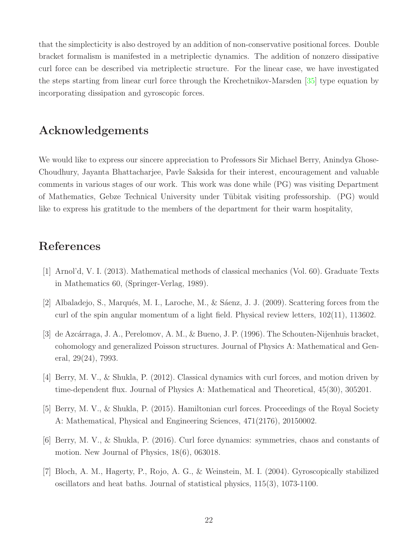that the simplecticity is also destroyed by an addition of non-conservative positional forces. Double bracket formalism is manifested in a metriplectic dynamics. The addition of nonzero dissipative curl force can be described via metriplectic structure. For the linear case, we have investigated the steps starting from linear curl force through the Krechetnikov-Marsden [\[35\]](#page-23-11) type equation by incorporating dissipation and gyroscopic forces.

### Acknowledgements

We would like to express our sincere appreciation to Professors Sir Michael Berry, Anindya Ghose-Choudhury, Jayanta Bhattacharjee, Pavle Saksida for their interest, encouragement and valuable comments in various stages of our work. This work was done while (PG) was visiting Department of Mathematics, Gebze Technical University under Tübitak visiting professorship. (PG) would like to express his gratitude to the members of the department for their warm hospitality,

## <span id="page-21-6"></span>References

- <span id="page-21-3"></span>[1] Arnol'd, V. I. (2013). Mathematical methods of classical mechanics (Vol. 60). Graduate Texts in Mathematics 60, (Springer-Verlag, 1989).
- <span id="page-21-4"></span>[2] Albaladejo, S., Marqués, M. I., Laroche, M., & Sáenz, J. J. (2009). Scattering forces from the curl of the spin angular momentum of a light field. Physical review letters, 102(11), 113602.
- [3] de Azcárraga, J. A., Perelomov, A. M., & Bueno, J. P. (1996). The Schouten-Nijenhuis bracket, cohomology and generalized Poisson structures. Journal of Physics A: Mathematical and General, 29(24), 7993.
- <span id="page-21-2"></span><span id="page-21-0"></span>[4] Berry, M. V., & Shukla, P. (2012). Classical dynamics with curl forces, and motion driven by time-dependent flux. Journal of Physics A: Mathematical and Theoretical, 45(30), 305201.
- <span id="page-21-1"></span>[5] Berry, M. V., & Shukla, P. (2015). Hamiltonian curl forces. Proceedings of the Royal Society A: Mathematical, Physical and Engineering Sciences, 471(2176), 20150002.
- <span id="page-21-5"></span>[6] Berry, M. V., & Shukla, P. (2016). Curl force dynamics: symmetries, chaos and constants of motion. New Journal of Physics, 18(6), 063018.
- [7] Bloch, A. M., Hagerty, P., Rojo, A. G., & Weinstein, M. I. (2004). Gyroscopically stabilized oscillators and heat baths. Journal of statistical physics, 115(3), 1073-1100.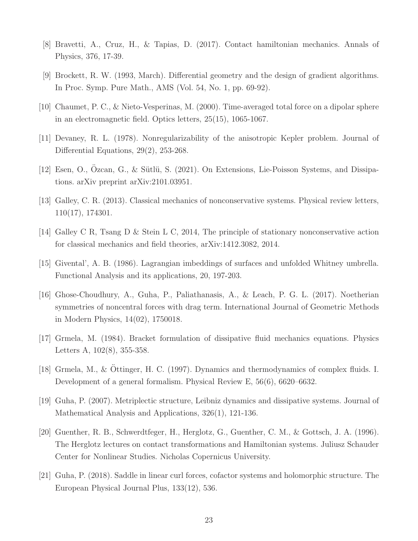- <span id="page-22-10"></span><span id="page-22-5"></span>[8] Bravetti, A., Cruz, H., & Tapias, D. (2017). Contact hamiltonian mechanics. Annals of Physics, 376, 17-39.
- <span id="page-22-0"></span>[9] Brockett, R. W. (1993, March). Differential geometry and the design of gradient algorithms. In Proc. Symp. Pure Math., AMS (Vol. 54, No. 1, pp. 69-92).
- <span id="page-22-1"></span>[10] Chaumet, P. C., & Nieto-Vesperinas, M. (2000). Time-averaged total force on a dipolar sphere in an electromagnetic field. Optics letters, 25(15), 1065-1067.
- <span id="page-22-8"></span>[11] Devaney, R. L. (1978). Nonregularizability of the anisotropic Kepler problem. Journal of Differential Equations, 29(2), 253-268.
- <span id="page-22-12"></span>[12] Esen, O., Ozcan, G., & Sütlü, S. (2021). On Extensions, Lie-Poisson Systems, and Dissipations. arXiv preprint arXiv:2101.03951.
- <span id="page-22-13"></span>[13] Galley, C. R. (2013). Classical mechanics of nonconservative systems. Physical review letters, 110(17), 174301.
- <span id="page-22-9"></span>[14] Galley C R, Tsang D & Stein L C, 2014, The principle of stationary nonconservative action for classical mechanics and field theories, arXiv:1412.3082, 2014.
- <span id="page-22-3"></span>[15] Givental', A. B. (1986). Lagrangian imbeddings of surfaces and unfolded Whitney umbrella. Functional Analysis and its applications, 20, 197-203.
- [16] Ghose-Choudhury, A., Guha, P., Paliathanasis, A., & Leach, P. G. L. (2017). Noetherian symmetries of noncentral forces with drag term. International Journal of Geometric Methods in Modern Physics, 14(02), 1750018.
- <span id="page-22-7"></span><span id="page-22-6"></span>[17] Grmela, M. (1984). Bracket formulation of dissipative fluid mechanics equations. Physics Letters A, 102(8), 355-358.
- <span id="page-22-4"></span>[18] Grmela, M., & Ottinger, H. C. (1997). Dynamics and thermodynamics of complex fluids. I. Development of a general formalism. Physical Review E, 56(6), 6620–6632.
- <span id="page-22-11"></span>[19] Guha, P. (2007). Metriplectic structure, Leibniz dynamics and dissipative systems. Journal of Mathematical Analysis and Applications, 326(1), 121-136.
- [20] Guenther, R. B., Schwerdtfeger, H., Herglotz, G., Guenther, C. M., & Gottsch, J. A. (1996). The Herglotz lectures on contact transformations and Hamiltonian systems. Juliusz Schauder Center for Nonlinear Studies. Nicholas Copernicus University.
- <span id="page-22-2"></span>[21] Guha, P. (2018). Saddle in linear curl forces, cofactor systems and holomorphic structure. The European Physical Journal Plus, 133(12), 536.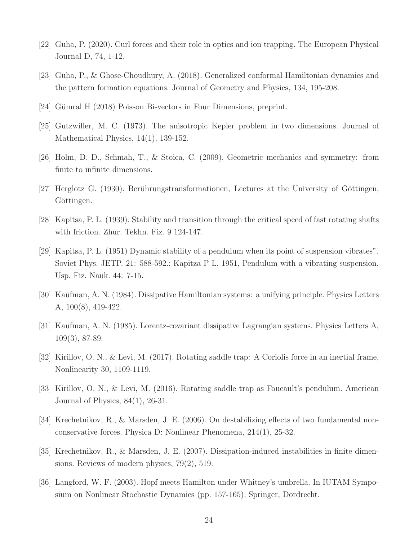- <span id="page-23-12"></span><span id="page-23-2"></span>[22] Guha, P. (2020). Curl forces and their role in optics and ion trapping. The European Physical Journal D, 74, 1-12.
- <span id="page-23-1"></span>[23] Guha, P., & Ghose-Choudhury, A. (2018). Generalized conformal Hamiltonian dynamics and the pattern formation equations. Journal of Geometry and Physics, 134, 195-208.
- <span id="page-23-0"></span>[24] Gümral H (2018) Poisson Bi-vectors in Four Dimensions, preprint.
- <span id="page-23-7"></span>[25] Gutzwiller, M. C. (1973). The anisotropic Kepler problem in two dimensions. Journal of Mathematical Physics, 14(1), 139-152.
- <span id="page-23-14"></span>[26] Holm, D. D., Schmah, T., & Stoica, C. (2009). Geometric mechanics and symmetry: from finite to infinite dimensions.
- <span id="page-23-6"></span>[27] Herglotz G. (1930). Berührungstransformationen, Lectures at the University of Göttingen, Göttingen.
- <span id="page-23-3"></span>[28] Kapitsa, P. L. (1939). Stability and transition through the critical speed of fast rotating shafts with friction. Zhur. Tekhn. Fiz. 9 124-147.
- [29] Kapitsa, P. L. (1951) Dynamic stability of a pendulum when its point of suspension vibrates". Soviet Phys. JETP. 21: 588-592.; Kapitza P L, 1951, Pendulum with a vibrating suspension, Usp. Fiz. Nauk. 44: 7-15.
- <span id="page-23-9"></span><span id="page-23-8"></span>[30] Kaufman, A. N. (1984). Dissipative Hamiltonian systems: a unifying principle. Physics Letters A, 100(8), 419-422.
- <span id="page-23-5"></span>[31] Kaufman, A. N. (1985). Lorentz-covariant dissipative Lagrangian systems. Physics Letters A, 109(3), 87-89.
- <span id="page-23-4"></span>[32] Kirillov, O. N., & Levi, M. (2017). Rotating saddle trap: A Coriolis force in an inertial frame, Nonlinearity 30, 1109-1119.
- <span id="page-23-10"></span>[33] Kirillov, O. N., & Levi, M. (2016). Rotating saddle trap as Foucault's pendulum. American Journal of Physics, 84(1), 26-31.
- <span id="page-23-11"></span>[34] Krechetnikov, R., & Marsden, J. E. (2006). On destabilizing effects of two fundamental nonconservative forces. Physica D: Nonlinear Phenomena, 214(1), 25-32.
- <span id="page-23-13"></span>[35] Krechetnikov, R., & Marsden, J. E. (2007). Dissipation-induced instabilities in finite dimensions. Reviews of modern physics, 79(2), 519.
- [36] Langford, W. F. (2003). Hopf meets Hamilton under Whitney's umbrella. In IUTAM Symposium on Nonlinear Stochastic Dynamics (pp. 157-165). Springer, Dordrecht.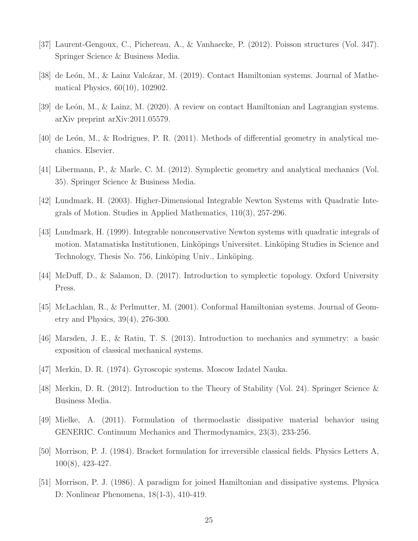- <span id="page-24-13"></span><span id="page-24-2"></span>[37] Laurent-Gengoux, C., Pichereau, A., & Vanhaecke, P. (2012). Poisson structures (Vol. 347). Springer Science & Business Media.
- <span id="page-24-14"></span>[38] de León, M., & Lainz Valcázar, M. (2019). Contact Hamiltonian systems. Journal of Mathematical Physics, 60(10), 102902.
- <span id="page-24-5"></span>[39] de León, M., & Lainz, M. (2020). A review on contact Hamiltonian and Lagrangian systems. arXiv preprint arXiv:2011.05579.
- <span id="page-24-6"></span>[40] de León, M., & Rodrigues, P. R. (2011). Methods of differential geometry in analytical mechanics. Elsevier.
- <span id="page-24-0"></span>[41] Libermann, P., & Marle, C. M. (2012). Symplectic geometry and analytical mechanics (Vol. 35). Springer Science & Business Media.
- <span id="page-24-1"></span>[42] Lundmark, H. (2003). Higher-Dimensional Integrable Newton Systems with Quadratic Integrals of Motion. Studies in Applied Mathematics, 110(3), 257-296.
- [43] Lundmark, H. (1999). Integrable nonconservative Newton systems with quadratic integrals of motion. Matamatiska Institutionen, Linköpings Universitet. Linköping Studies in Science and Technology, Thesis No. 756, Linköping Univ., Linköping.
- <span id="page-24-12"></span><span id="page-24-11"></span>[44] McDuff, D., & Salamon, D. (2017). Introduction to symplectic topology. Oxford University Press.
- <span id="page-24-7"></span>[45] McLachlan, R., & Perlmutter, M. (2001). Conformal Hamiltonian systems. Journal of Geometry and Physics, 39(4), 276-300.
- <span id="page-24-3"></span>[46] Marsden, J. E., & Ratiu, T. S. (2013). Introduction to mechanics and symmetry: a basic exposition of classical mechanical systems.
- <span id="page-24-4"></span>[47] Merkin, D. R. (1974). Gyroscopic systems. Moscow Izdatel Nauka.
- <span id="page-24-10"></span>[48] Merkin, D. R. (2012). Introduction to the Theory of Stability (Vol. 24). Springer Science & Business Media.
- <span id="page-24-8"></span>[49] Mielke, A. (2011). Formulation of thermoelastic dissipative material behavior using GENERIC. Continuum Mechanics and Thermodynamics, 23(3), 233-256.
- <span id="page-24-9"></span>[50] Morrison, P. J. (1984). Bracket formulation for irreversible classical fields. Physics Letters A, 100(8), 423-427.
- [51] Morrison, P. J. (1986). A paradigm for joined Hamiltonian and dissipative systems. Physica D: Nonlinear Phenomena, 18(1-3), 410-419.